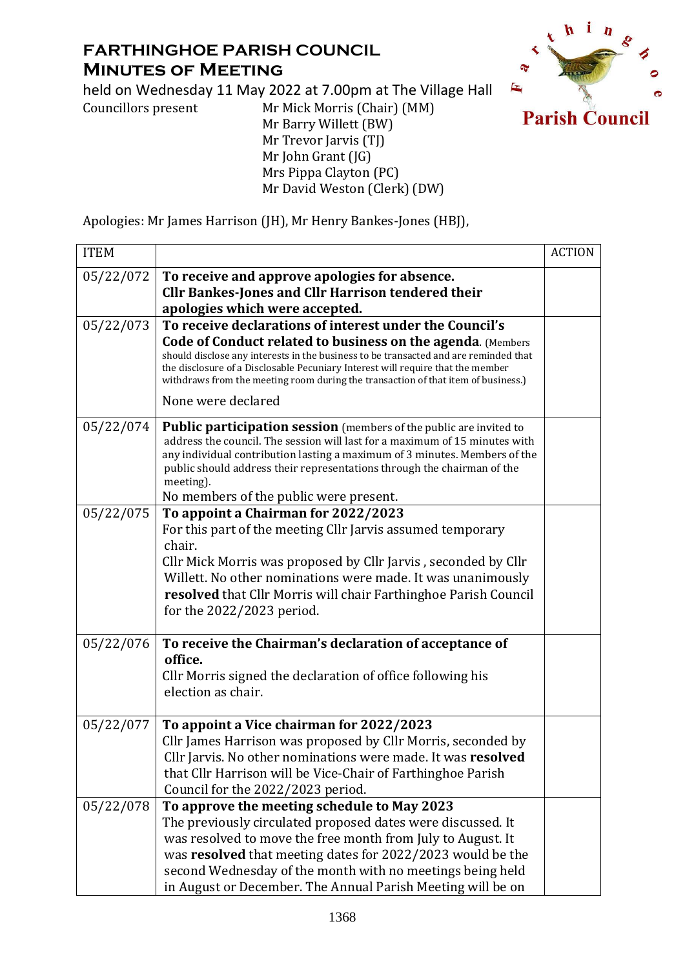## **FARTHINGHOE PARISH COUNCIL Minutes of Meeting**

held on Wednesday 11 May 2022 at 7.00pm at The Village Hall



Councillors present Mr Mick Morris (Chair) (MM)

Mr Barry Willett (BW) Mr Trevor Jarvis (TJ) Mr John Grant (JG) Mrs Pippa Clayton (PC) Mr David Weston (Clerk) (DW)

Apologies: Mr James Harrison (JH), Mr Henry Bankes-Jones (HBJ),

| <b>ITEM</b> |                                                                                                                                                                                                                                                                                                                                                                   | <b>ACTION</b> |
|-------------|-------------------------------------------------------------------------------------------------------------------------------------------------------------------------------------------------------------------------------------------------------------------------------------------------------------------------------------------------------------------|---------------|
| 05/22/072   | To receive and approve apologies for absence.                                                                                                                                                                                                                                                                                                                     |               |
|             | <b>Cllr Bankes-Jones and Cllr Harrison tendered their</b>                                                                                                                                                                                                                                                                                                         |               |
| 05/22/073   | apologies which were accepted.<br>To receive declarations of interest under the Council's                                                                                                                                                                                                                                                                         |               |
|             | <b>Code of Conduct related to business on the agenda. (Members</b>                                                                                                                                                                                                                                                                                                |               |
|             | should disclose any interests in the business to be transacted and are reminded that<br>the disclosure of a Disclosable Pecuniary Interest will require that the member<br>withdraws from the meeting room during the transaction of that item of business.)                                                                                                      |               |
|             | None were declared                                                                                                                                                                                                                                                                                                                                                |               |
| 05/22/074   | Public participation session (members of the public are invited to<br>address the council. The session will last for a maximum of 15 minutes with<br>any individual contribution lasting a maximum of 3 minutes. Members of the<br>public should address their representations through the chairman of the<br>meeting).<br>No members of the public were present. |               |
| 05/22/075   | To appoint a Chairman for 2022/2023                                                                                                                                                                                                                                                                                                                               |               |
|             | For this part of the meeting Cllr Jarvis assumed temporary<br>chair.<br>Cllr Mick Morris was proposed by Cllr Jarvis, seconded by Cllr<br>Willett. No other nominations were made. It was unanimously<br>resolved that Cllr Morris will chair Farthinghoe Parish Council<br>for the $2022/2023$ period.                                                           |               |
| 05/22/076   | To receive the Chairman's declaration of acceptance of                                                                                                                                                                                                                                                                                                            |               |
|             | office.                                                                                                                                                                                                                                                                                                                                                           |               |
|             | Cllr Morris signed the declaration of office following his<br>election as chair.                                                                                                                                                                                                                                                                                  |               |
| 05/22/077   | To appoint a Vice chairman for 2022/2023                                                                                                                                                                                                                                                                                                                          |               |
|             | Cllr James Harrison was proposed by Cllr Morris, seconded by                                                                                                                                                                                                                                                                                                      |               |
|             | Cllr Jarvis. No other nominations were made. It was resolved                                                                                                                                                                                                                                                                                                      |               |
|             | that Cllr Harrison will be Vice-Chair of Farthinghoe Parish<br>Council for the 2022/2023 period.                                                                                                                                                                                                                                                                  |               |
| 05/22/078   | To approve the meeting schedule to May 2023                                                                                                                                                                                                                                                                                                                       |               |
|             | The previously circulated proposed dates were discussed. It                                                                                                                                                                                                                                                                                                       |               |
|             | was resolved to move the free month from July to August. It                                                                                                                                                                                                                                                                                                       |               |
|             | was resolved that meeting dates for 2022/2023 would be the                                                                                                                                                                                                                                                                                                        |               |
|             | second Wednesday of the month with no meetings being held                                                                                                                                                                                                                                                                                                         |               |
|             | in August or December. The Annual Parish Meeting will be on                                                                                                                                                                                                                                                                                                       |               |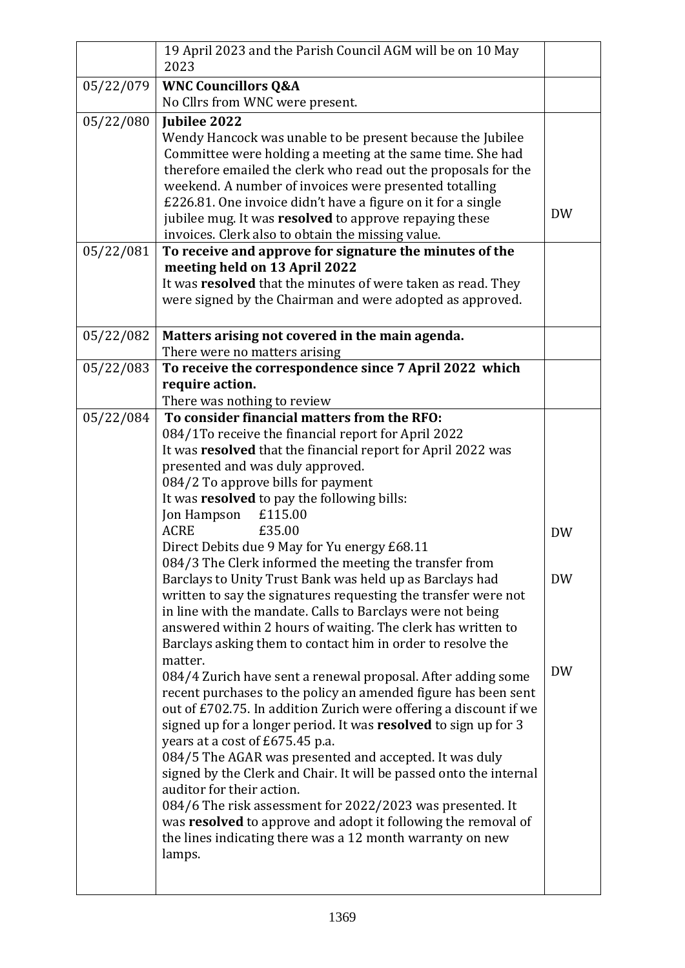|           | 19 April 2023 and the Parish Council AGM will be on 10 May<br>2023                                                                  |           |
|-----------|-------------------------------------------------------------------------------------------------------------------------------------|-----------|
| 05/22/079 | <b>WNC Councillors Q&amp;A</b>                                                                                                      |           |
|           | No Cllrs from WNC were present.                                                                                                     |           |
| 05/22/080 | Jubilee 2022                                                                                                                        |           |
|           | Wendy Hancock was unable to be present because the Jubilee                                                                          |           |
|           | Committee were holding a meeting at the same time. She had                                                                          |           |
|           | therefore emailed the clerk who read out the proposals for the                                                                      |           |
|           | weekend. A number of invoices were presented totalling                                                                              |           |
|           | £226.81. One invoice didn't have a figure on it for a single<br>jubilee mug. It was resolved to approve repaying these              | DW        |
|           | invoices. Clerk also to obtain the missing value.                                                                                   |           |
| 05/22/081 | To receive and approve for signature the minutes of the                                                                             |           |
|           | meeting held on 13 April 2022                                                                                                       |           |
|           | It was resolved that the minutes of were taken as read. They                                                                        |           |
|           | were signed by the Chairman and were adopted as approved.                                                                           |           |
|           |                                                                                                                                     |           |
| 05/22/082 | Matters arising not covered in the main agenda.                                                                                     |           |
|           | There were no matters arising                                                                                                       |           |
| 05/22/083 | To receive the correspondence since 7 April 2022 which                                                                              |           |
|           | require action.                                                                                                                     |           |
|           | There was nothing to review                                                                                                         |           |
| 05/22/084 | To consider financial matters from the RFO:                                                                                         |           |
|           | 084/1To receive the financial report for April 2022                                                                                 |           |
|           | It was resolved that the financial report for April 2022 was                                                                        |           |
|           | presented and was duly approved.<br>084/2 To approve bills for payment                                                              |           |
|           | It was resolved to pay the following bills:                                                                                         |           |
|           | Jon Hampson<br>£115.00                                                                                                              |           |
|           | £35.00<br><b>ACRE</b>                                                                                                               | <b>DW</b> |
|           | Direct Debits due 9 May for Yu energy £68.11                                                                                        |           |
|           | 084/3 The Clerk informed the meeting the transfer from                                                                              |           |
|           | Barclays to Unity Trust Bank was held up as Barclays had                                                                            | <b>DW</b> |
|           | written to say the signatures requesting the transfer were not                                                                      |           |
|           | in line with the mandate. Calls to Barclays were not being                                                                          |           |
|           | answered within 2 hours of waiting. The clerk has written to                                                                        |           |
|           | Barclays asking them to contact him in order to resolve the                                                                         |           |
|           | matter.                                                                                                                             | <b>DW</b> |
|           | 084/4 Zurich have sent a renewal proposal. After adding some                                                                        |           |
|           | recent purchases to the policy an amended figure has been sent<br>out of £702.75. In addition Zurich were offering a discount if we |           |
|           | signed up for a longer period. It was resolved to sign up for 3                                                                     |           |
|           | years at a cost of £675.45 p.a.                                                                                                     |           |
|           | 084/5 The AGAR was presented and accepted. It was duly                                                                              |           |
|           | signed by the Clerk and Chair. It will be passed onto the internal                                                                  |           |
|           | auditor for their action.                                                                                                           |           |
|           | 084/6 The risk assessment for 2022/2023 was presented. It                                                                           |           |
|           | was resolved to approve and adopt it following the removal of                                                                       |           |
|           | the lines indicating there was a 12 month warranty on new                                                                           |           |
|           | lamps.                                                                                                                              |           |
|           |                                                                                                                                     |           |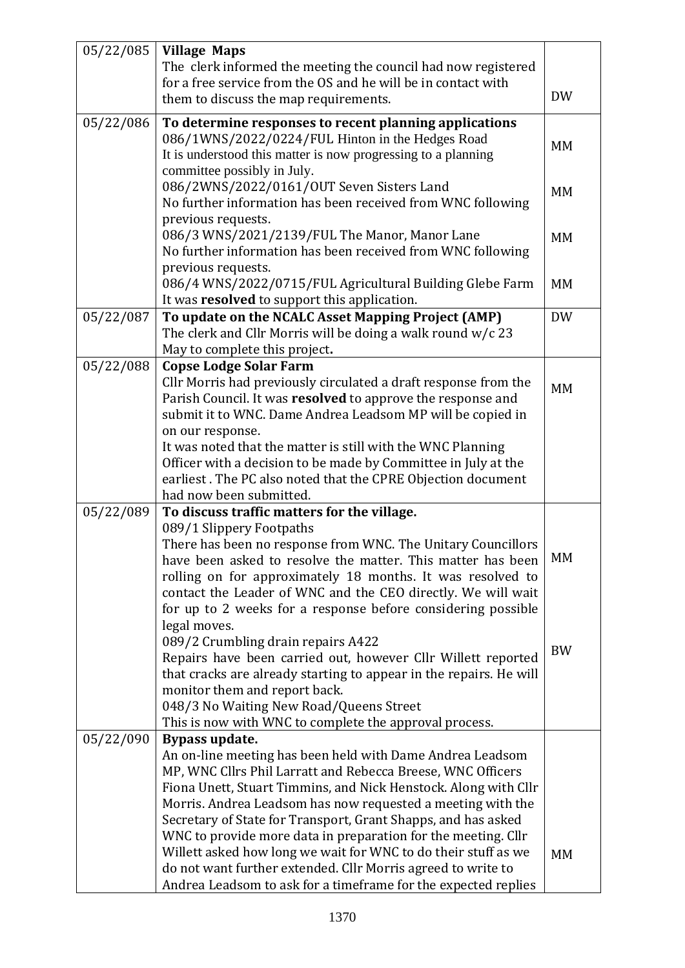| 05/22/085 | <b>Village Maps</b>                                                                                                             |           |
|-----------|---------------------------------------------------------------------------------------------------------------------------------|-----------|
|           | The clerk informed the meeting the council had now registered                                                                   |           |
|           | for a free service from the OS and he will be in contact with                                                                   |           |
|           | them to discuss the map requirements.                                                                                           | <b>DW</b> |
| 05/22/086 | To determine responses to recent planning applications                                                                          |           |
|           | 086/1WNS/2022/0224/FUL Hinton in the Hedges Road                                                                                |           |
|           | It is understood this matter is now progressing to a planning                                                                   | MM        |
|           | committee possibly in July.                                                                                                     |           |
|           | 086/2WNS/2022/0161/OUT Seven Sisters Land                                                                                       | MM        |
|           | No further information has been received from WNC following                                                                     |           |
|           | previous requests.                                                                                                              |           |
|           | 086/3 WNS/2021/2139/FUL The Manor, Manor Lane                                                                                   | MM        |
|           | No further information has been received from WNC following                                                                     |           |
|           | previous requests.                                                                                                              |           |
|           | 086/4 WNS/2022/0715/FUL Agricultural Building Glebe Farm                                                                        | MM        |
|           | It was resolved to support this application.                                                                                    | <b>DW</b> |
| 05/22/087 | To update on the NCALC Asset Mapping Project (AMP)<br>The clerk and Cllr Morris will be doing a walk round $w/c$ 23             |           |
|           | May to complete this project.                                                                                                   |           |
| 05/22/088 | <b>Copse Lodge Solar Farm</b>                                                                                                   |           |
|           | Cllr Morris had previously circulated a draft response from the                                                                 |           |
|           | Parish Council. It was resolved to approve the response and                                                                     | <b>MM</b> |
|           | submit it to WNC. Dame Andrea Leadsom MP will be copied in                                                                      |           |
|           | on our response.                                                                                                                |           |
|           | It was noted that the matter is still with the WNC Planning                                                                     |           |
|           | Officer with a decision to be made by Committee in July at the                                                                  |           |
|           | earliest. The PC also noted that the CPRE Objection document                                                                    |           |
|           | had now been submitted.                                                                                                         |           |
| 05/22/089 | To discuss traffic matters for the village.                                                                                     |           |
|           | 089/1 Slippery Footpaths                                                                                                        |           |
|           | There has been no response from WNC. The Unitary Councillors                                                                    | МM        |
|           | have been asked to resolve the matter. This matter has been                                                                     |           |
|           | rolling on for approximately 18 months. It was resolved to                                                                      |           |
|           | contact the Leader of WNC and the CEO directly. We will wait<br>for up to 2 weeks for a response before considering possible    |           |
|           | legal moves.                                                                                                                    |           |
|           | 089/2 Crumbling drain repairs A422                                                                                              |           |
|           | Repairs have been carried out, however Cllr Willett reported                                                                    | <b>BW</b> |
|           | that cracks are already starting to appear in the repairs. He will                                                              |           |
|           | monitor them and report back.                                                                                                   |           |
|           | 048/3 No Waiting New Road/Queens Street                                                                                         |           |
|           | This is now with WNC to complete the approval process.                                                                          |           |
| 05/22/090 | Bypass update.                                                                                                                  |           |
|           | An on-line meeting has been held with Dame Andrea Leadsom                                                                       |           |
|           | MP, WNC Cllrs Phil Larratt and Rebecca Breese, WNC Officers                                                                     |           |
|           | Fiona Unett, Stuart Timmins, and Nick Henstock. Along with Cllr                                                                 |           |
|           | Morris. Andrea Leadsom has now requested a meeting with the                                                                     |           |
|           | Secretary of State for Transport, Grant Shapps, and has asked                                                                   |           |
|           | WNC to provide more data in preparation for the meeting. Cllr<br>Willett asked how long we wait for WNC to do their stuff as we |           |
|           | do not want further extended. Cllr Morris agreed to write to                                                                    | MM        |
|           | Andrea Leadsom to ask for a timeframe for the expected replies                                                                  |           |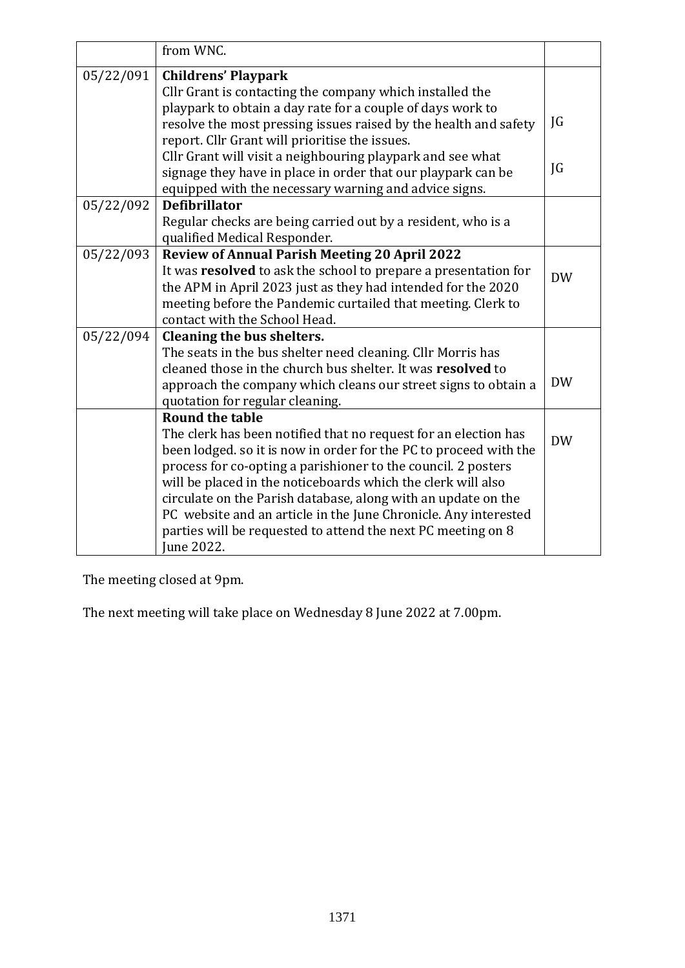|           | from WNC.                                                                                                                                                                                                                                                                                                                                                                                                                                                                                                         |           |
|-----------|-------------------------------------------------------------------------------------------------------------------------------------------------------------------------------------------------------------------------------------------------------------------------------------------------------------------------------------------------------------------------------------------------------------------------------------------------------------------------------------------------------------------|-----------|
| 05/22/091 | <b>Childrens' Playpark</b><br>Cllr Grant is contacting the company which installed the<br>playpark to obtain a day rate for a couple of days work to                                                                                                                                                                                                                                                                                                                                                              |           |
|           | resolve the most pressing issues raised by the health and safety<br>report. Cllr Grant will prioritise the issues.                                                                                                                                                                                                                                                                                                                                                                                                | JG        |
|           | Cllr Grant will visit a neighbouring playpark and see what<br>signage they have in place in order that our playpark can be<br>equipped with the necessary warning and advice signs.                                                                                                                                                                                                                                                                                                                               | JG        |
| 05/22/092 | <b>Defibrillator</b><br>Regular checks are being carried out by a resident, who is a<br>qualified Medical Responder.                                                                                                                                                                                                                                                                                                                                                                                              |           |
| 05/22/093 | <b>Review of Annual Parish Meeting 20 April 2022</b><br>It was resolved to ask the school to prepare a presentation for<br>the APM in April 2023 just as they had intended for the 2020<br>meeting before the Pandemic curtailed that meeting. Clerk to<br>contact with the School Head.                                                                                                                                                                                                                          | <b>DW</b> |
| 05/22/094 | Cleaning the bus shelters.<br>The seats in the bus shelter need cleaning. Cllr Morris has<br>cleaned those in the church bus shelter. It was resolved to<br>approach the company which cleans our street signs to obtain a<br>quotation for regular cleaning.                                                                                                                                                                                                                                                     | <b>DW</b> |
|           | <b>Round the table</b><br>The clerk has been notified that no request for an election has<br>been lodged, so it is now in order for the PC to proceed with the<br>process for co-opting a parishioner to the council. 2 posters<br>will be placed in the noticeboards which the clerk will also<br>circulate on the Parish database, along with an update on the<br>PC website and an article in the June Chronicle. Any interested<br>parties will be requested to attend the next PC meeting on 8<br>June 2022. | <b>DW</b> |

The meeting closed at 9pm.

The next meeting will take place on Wednesday 8 June 2022 at 7.00pm.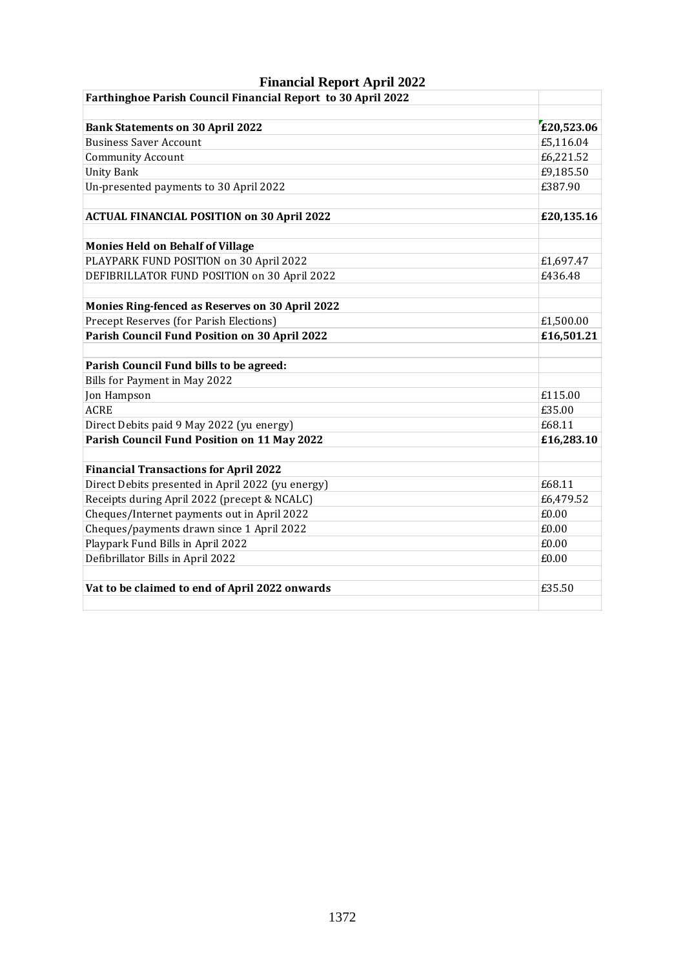| г шански кероге дрі н 2022<br>Farthinghoe Parish Council Financial Report to 30 April 2022 |            |
|--------------------------------------------------------------------------------------------|------------|
|                                                                                            |            |
| <b>Bank Statements on 30 April 2022</b>                                                    | £20,523.06 |
| <b>Business Saver Account</b>                                                              | £5,116.04  |
| <b>Community Account</b>                                                                   | £6,221.52  |
| <b>Unity Bank</b>                                                                          | £9,185.50  |
| Un-presented payments to 30 April 2022                                                     | £387.90    |
| <b>ACTUAL FINANCIAL POSITION on 30 April 2022</b>                                          | £20,135.16 |
| <b>Monies Held on Behalf of Village</b>                                                    |            |
| PLAYPARK FUND POSITION on 30 April 2022                                                    | £1,697.47  |
| DEFIBRILLATOR FUND POSITION on 30 April 2022                                               | £436.48    |
| Monies Ring-fenced as Reserves on 30 April 2022                                            |            |
| Precept Reserves (for Parish Elections)                                                    | £1,500.00  |
| Parish Council Fund Position on 30 April 2022                                              | £16,501.21 |
| Parish Council Fund bills to be agreed:                                                    |            |
| Bills for Payment in May 2022                                                              |            |
| Jon Hampson                                                                                | £115.00    |
| <b>ACRE</b>                                                                                | £35.00     |
| Direct Debits paid 9 May 2022 (yu energy)                                                  | £68.11     |
| Parish Council Fund Position on 11 May 2022                                                | £16,283.10 |
| <b>Financial Transactions for April 2022</b>                                               |            |
| Direct Debits presented in April 2022 (yu energy)                                          | £68.11     |
| Receipts during April 2022 (precept & NCALC)                                               | £6,479.52  |
| Cheques/Internet payments out in April 2022                                                | £0.00      |
| Cheques/payments drawn since 1 April 2022                                                  | £0.00      |
| Playpark Fund Bills in April 2022                                                          | £0.00      |
| Defibrillator Bills in April 2022                                                          | £0.00      |
| Vat to be claimed to end of April 2022 onwards                                             | £35.50     |
|                                                                                            |            |

## **Financial Report April 2022**